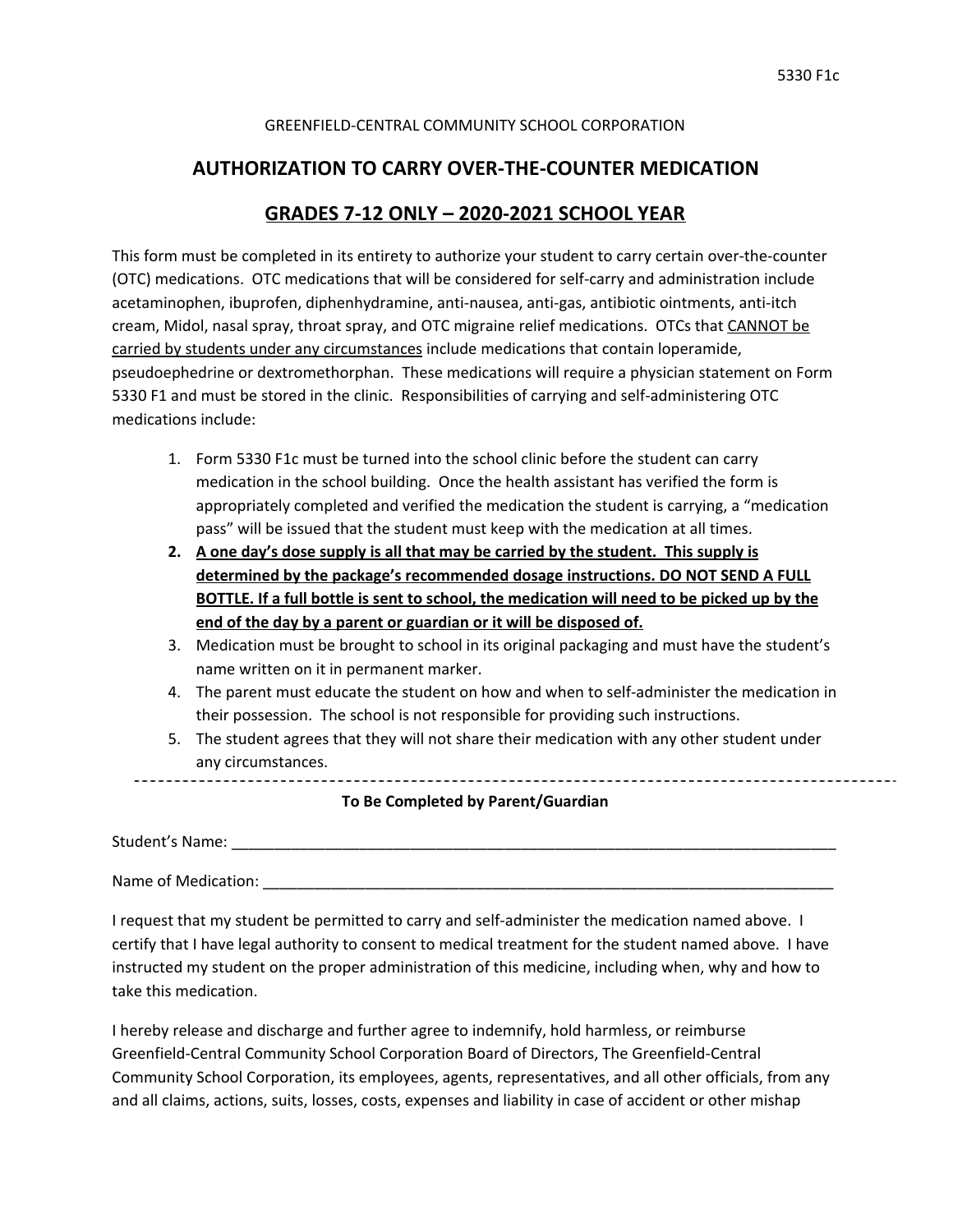------------------------------------

### GREENFIELD-CENTRAL COMMUNITY SCHOOL CORPORATION

## **AUTHORIZATION TO CARRY OVER-THE-COUNTER MEDICATION**

# **GRADES 7-12 ONLY – 2020-2021 SCHOOL YEAR**

This form must be completed in its entirety to authorize your student to carry certain over-the-counter (OTC) medications. OTC medications that will be considered for self-carry and administration include acetaminophen, ibuprofen, diphenhydramine, anti-nausea, anti-gas, antibiotic ointments, anti-itch cream, Midol, nasal spray, throat spray, and OTC migraine relief medications. OTCs that CANNOT be carried by students under any circumstances include medications that contain loperamide, pseudoephedrine or dextromethorphan. These medications will require a physician statement on Form 5330 F1 and must be stored in the clinic. Responsibilities of carrying and self-administering OTC medications include:

- 1. Form 5330 F1c must be turned into the school clinic before the student can carry medication in the school building. Once the health assistant has verified the form is appropriately completed and verified the medication the student is carrying, a "medication pass" will be issued that the student must keep with the medication at all times.
- **2. A one day's dose supply is all that may be carried by the student. This supply is determined by the package's recommended dosage instructions. DO NOT SEND A FULL BOTTLE. If a full bottle is sent to school, the medication will need to be picked up by the end of the day by a parent or guardian or it will be disposed of.**
- 3. Medication must be brought to school in its original packaging and must have the student's name written on it in permanent marker.
- 4. The parent must educate the student on how and when to self-administer the medication in their possession. The school is not responsible for providing such instructions.
- 5. The student agrees that they will not share their medication with any other student under any circumstances.

#### **To Be Completed by Parent/Guardian**

Student's Name: \_\_\_\_\_\_\_\_\_\_\_\_\_\_\_\_\_\_\_\_\_\_\_\_\_\_\_\_\_\_\_\_\_\_\_\_\_\_\_\_\_\_\_\_\_\_\_\_\_\_\_\_\_\_\_\_\_\_\_\_\_\_\_\_\_\_\_\_\_\_\_

Name of Medication: \_\_\_\_\_\_\_\_\_\_\_\_\_\_\_\_\_\_\_\_\_\_\_\_\_\_\_\_\_\_\_\_\_\_\_\_\_\_\_\_\_\_\_\_\_\_\_\_\_\_\_\_\_\_\_\_\_\_\_\_\_\_\_\_\_\_\_

I request that my student be permitted to carry and self-administer the medication named above. I certify that I have legal authority to consent to medical treatment for the student named above. I have instructed my student on the proper administration of this medicine, including when, why and how to take this medication.

I hereby release and discharge and further agree to indemnify, hold harmless, or reimburse Greenfield-Central Community School Corporation Board of Directors, The Greenfield-Central Community School Corporation, its employees, agents, representatives, and all other officials, from any and all claims, actions, suits, losses, costs, expenses and liability in case of accident or other mishap